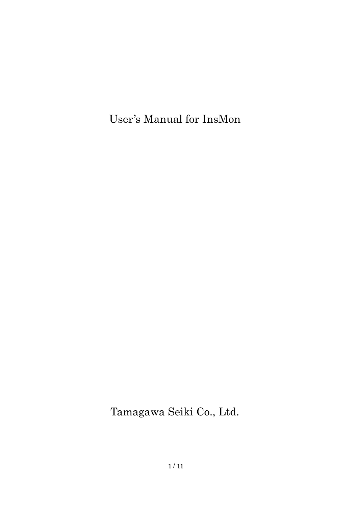User's Manual for InsMon

Tamagawa Seiki Co., Ltd.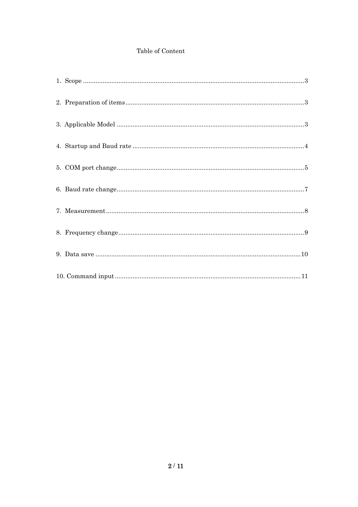# Table of Content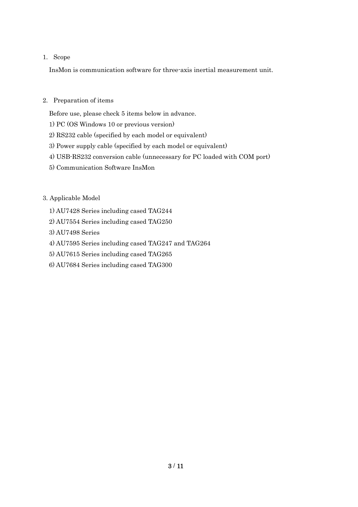## 1. Scope

InsMon is communication software for three-axis inertial measurement unit.

## 2. Preparation of items

Before use, please check 5 items below in advance.

- 1) PC (OS Windows 10 or previous version)
- 2) RS232 cable (specified by each model or equivalent)
- 3) Power supply cable (specified by each model or equivalent)
- 4) USB-RS232 conversion cable (unnecessary for PC loaded with COM port)
- 5) Communication Software InsMon

## 3. Applicable Model

- 1) AU7428 Series including cased TAG244
- 2) AU7554 Series including cased TAG250
- 3) AU7498 Series
- 4) AU7595 Series including cased TAG247 and TAG264
- 5) AU7615 Series including cased TAG265
- 6) AU7684 Series including cased TAG300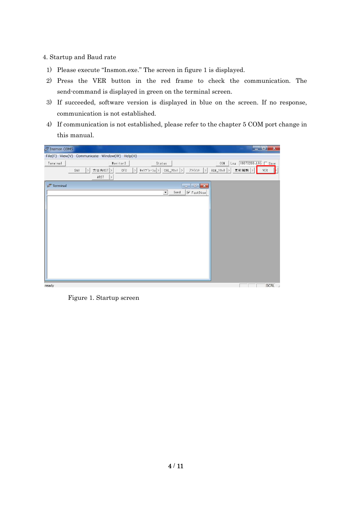### 4. Startup and Baud rate

- 1) Please execute "Insmon.exe." The screen in figure 1 is displayed.
- 2) Press the VER button in the red frame to check the communication. The send-command is displayed in green on the terminal screen.
- 3) If succeeded, software version is displayed in blue on the screen. If no response, communication is not established.
- 4) If communication is not established, please refer to the chapter 5 COM port change in this manual.

| TInsmon COM5 |                                                                                                                                                                                                                                                                                                                                            | $\mathbf{x}$<br><u>salah</u>   |
|--------------|--------------------------------------------------------------------------------------------------------------------------------------------------------------------------------------------------------------------------------------------------------------------------------------------------------------------------------------------|--------------------------------|
|              | File(F) View(V) Communicate Window(W) Help(H)                                                                                                                                                                                                                                                                                              |                                |
| Terminal     | Monitor3<br>Status                                                                                                                                                                                                                                                                                                                         | Log 19070200.LOG   Save<br>00M |
|              | OFC<br>$>$ $*$ + $\frac{1}{2}$ + $*$ $\frac{1}{2}$ + $\frac{1}{2}$ + $\frac{1}{2}$ + $\frac{1}{2}$ + $\frac{1}{2}$ + $\frac{1}{2}$ + $\frac{1}{2}$ + $\frac{1}{2}$ + $\frac{1}{2}$ + $\frac{1}{2}$ + $\frac{1}{2}$ + $\frac{1}{2}$ + $\frac{1}{2}$ + $\frac{1}{2}$ + $\frac{1}{2}$ + $\frac{1}{2}$ + $\frac{1$<br>方位角RST ><br>SAV<br>$\,>$ | 更新周期 ><br>VER                  |
|              | ARST<br>$\,$                                                                                                                                                                                                                                                                                                                               |                                |
| $F$ Terminal | Send<br>V FastDisp<br>$\mathbf{r}$                                                                                                                                                                                                                                                                                                         |                                |
| ready        |                                                                                                                                                                                                                                                                                                                                            | SCRL /                         |

Figure 1. Startup screen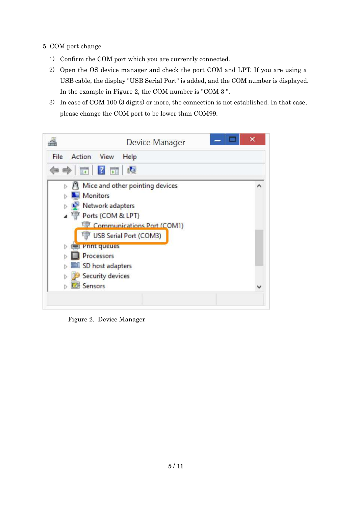- 5. COM port change
	- 1) Confirm the COM port which you are currently connected.
	- 2) Open the OS device manager and check the port COM and LPT. If you are using a USB cable, the display "USB Serial Port" is added, and the COM number is displayed. In the example in Figure 2, the COM number is "COM 3 ".
	- 3) In case of COM 100 (3 digits) or more, the connection is not established. In that case, please change the COM port to be lower than COM99.

|                                  | Device Manager                                                                                                                                                            |  |
|----------------------------------|---------------------------------------------------------------------------------------------------------------------------------------------------------------------------|--|
| File<br>Action View              | Help                                                                                                                                                                      |  |
|                                  | $\Leftrightarrow$ $\blacksquare$ 2 $\blacksquare$                                                                                                                         |  |
| <b>Monitors</b>                  | $\triangleright$ Mice and other pointing devices<br>Network adapters<br>⊿ <sup>Top</sup> Ports (COM & LPT)<br><b>Communications Port (COM1)</b><br>USB Serial Port (COM3) |  |
| Processors<br><b>EZI Sensors</b> | Print queues<br>SD host adapters<br>Security devices                                                                                                                      |  |

Figure 2. Device Manager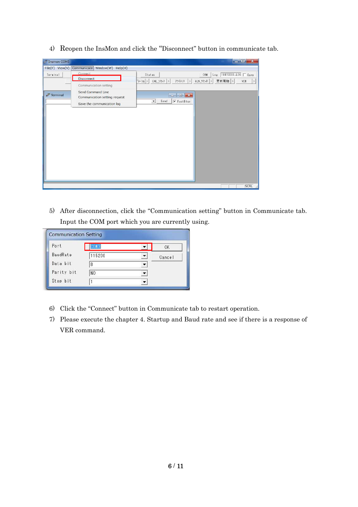4) Reopen the InsMon and click the "Disconnect" button in communicate tab.

| Tinsmon COM5      |                                  |                                                                 | $\begin{array}{c c c c c} \hline \multicolumn{3}{c }{\mathbf{E}} & \multicolumn{3}{c }{\mathbf{X}} \end{array}$ |
|-------------------|----------------------------------|-----------------------------------------------------------------|-----------------------------------------------------------------------------------------------------------------|
| $File(F)$ View(V) | Communicate<br>Window(W) Help(H) |                                                                 |                                                                                                                 |
| Terminal          | Connect                          | Status                                                          | Log 19070200.LOG   Save<br>COM                                                                                  |
|                   | Disconnect                       | *レーショ ><br>CAL_リセット ><br>アライメント<br>$\vert$ >                    | $ALN_YE_2$ ><br>更新周期 ><br>VER<br>$\vert \rangle$                                                                |
|                   | Communication setting            |                                                                 |                                                                                                                 |
|                   | Send Command Line                |                                                                 |                                                                                                                 |
| Ferminal          | Communication setting request    | $\Box$                                                          |                                                                                                                 |
|                   | Save the communication log       | $\overline{\mathbf{v}}$ FastDisp<br>Send<br>$\vert \cdot \vert$ |                                                                                                                 |
|                   |                                  |                                                                 |                                                                                                                 |
|                   |                                  |                                                                 |                                                                                                                 |
|                   |                                  |                                                                 |                                                                                                                 |
|                   |                                  |                                                                 |                                                                                                                 |
|                   |                                  |                                                                 |                                                                                                                 |
|                   |                                  |                                                                 |                                                                                                                 |
|                   |                                  |                                                                 |                                                                                                                 |
|                   |                                  |                                                                 |                                                                                                                 |
|                   |                                  |                                                                 |                                                                                                                 |
|                   |                                  |                                                                 |                                                                                                                 |
|                   |                                  |                                                                 |                                                                                                                 |
|                   |                                  |                                                                 |                                                                                                                 |
|                   |                                  |                                                                 |                                                                                                                 |
|                   |                                  |                                                                 | SCRL                                                                                                            |

5) After disconnection, click the "Communication setting" button in Communicate tab. Input the COM port which you are currently using.

| Port       |        | 0K     |
|------------|--------|--------|
| BaudRate   | 115200 | Cancel |
| Data bit   | 8      |        |
| Parity bit | NO.    |        |
| Stop bit   |        |        |

- 6) Click the "Connect" button in Communicate tab to restart operation.
- 7) Please execute the chapter 4. Startup and Baud rate and see if there is a response of VER command.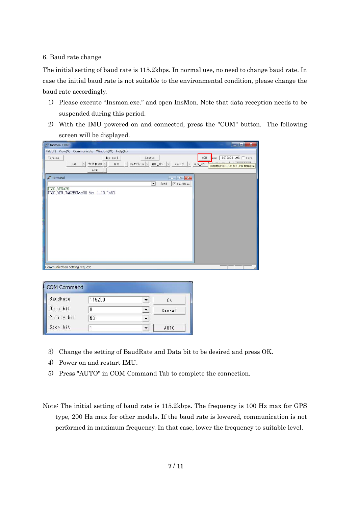### 6. Baud rate change

The initial setting of baud rate is 115.2kbps. In normal use, no need to change baud rate. In case the initial baud rate is not suitable to the environmental condition, please change the baud rate accordingly.

- 1) Please execute "Insmon.exe." and open InsMon. Note that data reception needs to be suspended during this period.
- 2) With the IMU powered on and connected, press the "COM" button. The following screen will be displayed.

| File(F) View(V) Communicate Window(W) Help(H)                                                                                                                                                                                                                                                                                                                                                                                                                                                        |  |
|------------------------------------------------------------------------------------------------------------------------------------------------------------------------------------------------------------------------------------------------------------------------------------------------------------------------------------------------------------------------------------------------------------------------------------------------------------------------------------------------------|--|
|                                                                                                                                                                                                                                                                                                                                                                                                                                                                                                      |  |
| $\log$ 19070200.LOG $\Box$ Save<br>Monitor3<br>COM<br>Terminal<br>Status                                                                                                                                                                                                                                                                                                                                                                                                                             |  |
| OF C<br>> キャリフ レーショ ><br>CAL_リセット > アライメント<br>$\left  \right\rangle$<br>ALN_Vest<br>SAV<br>方位角RST ><br>$\rightarrow$<br>communication setting request<br>ARST<br>$\,$                                                                                                                                                                                                                                                                                                                                |  |
| Terminal<br>$\begin{array}{c c c c c c} \hline \multicolumn{3}{c }{-1} & \multicolumn{3}{c }{-1} & \multicolumn{3}{c }{-1} & \multicolumn{3}{c }{-1} & \multicolumn{3}{c }{-1} & \multicolumn{3}{c }{-1} & \multicolumn{3}{c }{-1} & \multicolumn{3}{c }{-1} & \multicolumn{3}{c }{-1} & \multicolumn{3}{c }{-1} & \multicolumn{3}{c }{-1} & \multicolumn{3}{c }{-1} & \multicolumn{3}{c }{-1} & \multicolumn{3}{c }{-1} & \multicolumn$<br>Send<br>$\sqrt{\bullet}$ FastDisp<br>$\vert \cdot \vert$ |  |
| \$TSC, VER*29<br>\$TSC, VER, TAG250Nxx00 Ver. 1.10.1*60                                                                                                                                                                                                                                                                                                                                                                                                                                              |  |
| Communication setting request                                                                                                                                                                                                                                                                                                                                                                                                                                                                        |  |

| <b>BaudRate</b> | 115200         | 0K     |
|-----------------|----------------|--------|
| Data bit        | 8              | Cancel |
| Parity bit      | N <sub>O</sub> |        |
| Stop bit        |                | AUTO   |

- 3) Change the setting of BaudRate and Data bit to be desired and press OK.
- 4) Power on and restart IMU.
- 5) Press "AUTO" in COM Command Tab to complete the connection.
- Note: The initial setting of baud rate is 115.2kbps. The frequency is 100 Hz max for GPS type, 200 Hz max for other models. If the baud rate is lowered, communication is not performed in maximum frequency. In that case, lower the frequency to suitable level.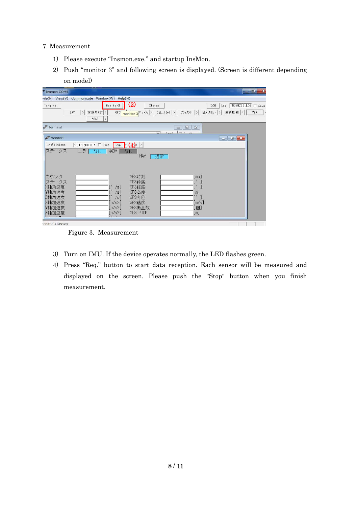#### 7. Measurement

- 1) Please execute "Insmon.exe." and startup InsMon.
- 2) Push "monitor 3" and following screen is displayed. (Screen is different depending on model)

| Thsmon COM5                                                                                                                                                                                                                                                                                          | $\blacksquare$ $\blacksquare$ $\blacksquare$ $\blacksquare$ |
|------------------------------------------------------------------------------------------------------------------------------------------------------------------------------------------------------------------------------------------------------------------------------------------------------|-------------------------------------------------------------|
| File(F) View(V) Communicate Window(W) Help(H)                                                                                                                                                                                                                                                        |                                                             |
| $\left( 2\right)$<br>Monitor3<br>Terminal<br>Status                                                                                                                                                                                                                                                  | Log 19070200.LOG   Save<br>COM                              |
| $\frac{1}{2}$ monitor 3 <sup>p*</sup> $v-y_1$ > CAL_Vtat  ><br>アライメント  > <br>方位角RST ><br>SAV<br><b>OFC</b><br>$\rightarrow$<br>ARST<br>$\,$                                                                                                                                                          | 更新周期<br>ALN リセット ><br>VER<br>$\rightarrow$                  |
| $\mathcal{F}$ Terminal<br>回   83<br>$\qquad \qquad \Box$<br>$rr - \infty$<br>0.11                                                                                                                                                                                                                    |                                                             |
| Monitor3                                                                                                                                                                                                                                                                                             | $\Box$ $\Box$ $\Box$                                        |
| $\begin{array}{ c c c c }\n\hline\n\text{Req} & \text{A} & \text{p} & \text{p}\n\end{array}$<br><b>/19070200.BIN</b> ■ Save<br>LogFileName                                                                                                                                                           |                                                             |
| 演算  <br>ステータス<br>エラーなし<br>なし<br><b>NAV</b><br>通常                                                                                                                                                                                                                                                     |                                                             |
| GPS時刻<br>カウンタ<br>[ms]<br>GPS緯度<br>ステータス<br>$\bullet$<br>$[\degree$ /s]<br><b>X軸角速度</b><br>GPS経度<br>Y軸角速度<br>/s]<br>GPS高度<br>$\lfloor m \rfloor$<br>$\cdot$ 1<br>/s]<br>Z軸角速度<br>GPS方位<br>X軸加速度<br>[m/s2]<br>GPS速度<br>[m/s]<br>Y軸加速度<br>[m/s2]<br>GPS衛星数<br>[個]<br>Z軸加速度<br>[m/s2]<br>GPS PDOP<br>[m] |                                                             |
| $\overline{\phantom{a}}$<br>F P T<br><b>Ionitor 3 Display</b>                                                                                                                                                                                                                                        |                                                             |

Figure 3. Measurement

- 3) Turn on IMU. If the device operates normally, the LED flashes green.
- 4) Press "Req." button to start data reception. Each sensor will be measured and displayed on the screen. Please push the "Stop" button when you finish measurement.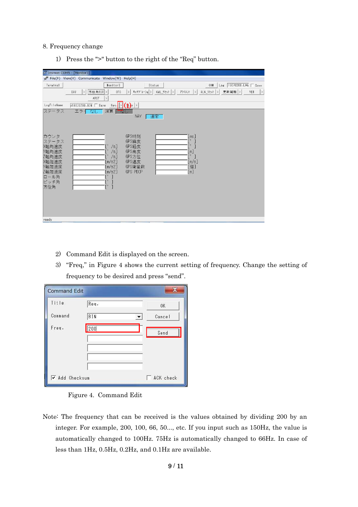#### 8. Frequency change

1) Press the ">" button to the right of the "Req" button.

| Tinsmon COM5 - [Monitor3]                                                                                                                                                                                                                                                                                                                   |
|---------------------------------------------------------------------------------------------------------------------------------------------------------------------------------------------------------------------------------------------------------------------------------------------------------------------------------------------|
| File(F) View(V) Communicate Window(W) Help(H)                                                                                                                                                                                                                                                                                               |
| Log 19070200.LOG   Save<br>Monitor3<br>COM<br>Terminal<br>Status                                                                                                                                                                                                                                                                            |
| OF C<br>キャリフ <sup>*</sup> レーショ > CAL_リセット ><br>方位角RST ><br>ALN_リセット ><br>更新周期 ><br>アライメント<br>VER<br>SAV<br>$  \rangle$<br>$\vert \rangle$<br>$\vert$ ><br>$\left  \right\rangle$                                                                                                                                                            |
| ARST<br>$\rightarrow$                                                                                                                                                                                                                                                                                                                       |
| $\text{Re}q$ $\left \frac{1}{2}\right  \left(\frac{q_1}{q_2}\right)$ $\left \frac{1}{2}\right $<br>LogFileName<br>F19070200.BIN Γ Save                                                                                                                                                                                                      |
| ステータス<br>演算「一<br>エラー<br>なし<br>NAV<br>通常                                                                                                                                                                                                                                                                                                     |
| GPS時刻<br>カウンタ<br>[ms]<br>$\bullet$<br>GPS緯度<br>ステータス<br>$\bullet$<br>X軸角速度<br>GPS経度<br>/s]<br>Y軸角速度<br>GPS高度<br>/s]<br>[m]<br>$\lceil$ $\rceil$<br>Z軸角速度<br>GPS方位<br>/s]<br>GPS速度<br>X軸加速度<br>[m/s2]<br>[m/s]<br>Y軸加速度<br>[m/s2]<br>GPS衛星数<br>[個]<br>Z軸加速度<br>[m/s2]<br>GPS PDOP<br>[m]<br>ロール角<br>J<br>$\bullet$<br>ピッチ角<br>Г°<br>1<br>方位角 |
| ready                                                                                                                                                                                                                                                                                                                                       |

- 2) Command Edit is displayed on the screen.
- 3) "Freq," in Figure 4 shows the current setting of frequency. Change the setting of frequency to be desired and press "send".

| <b>Command Edit</b> |      |           |
|---------------------|------|-----------|
| Title               | Req. | 0K        |
| Command             | BIN  | Cancel    |
| Freq.               | 200  | Send      |
|                     |      |           |
|                     |      |           |
|                     |      |           |
| Add Checksum        |      | ACK check |



Note: The frequency that can be received is the values obtained by dividing 200 by an integer. For example, 200, 100, 66, 50..., etc. If you input such as 150Hz, the value is automatically changed to 100Hz. 75Hz is automatically changed to 66Hz. In case of less than 1Hz, 0.5Hz, 0.2Hz, and 0.1Hz are available.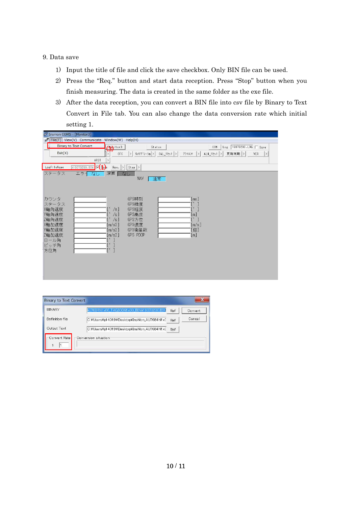### 9. Data save

- 1) Input the title of file and click the save checkbox. Only BIN file can be used.
- 2) Press the "Req." button and start data reception. Press "Stop" button when you finish measuring. The data is created in the same folder as the exe file.
- 3) After the data reception, you can convert a BIN file into csv file by Binary to Text Convert in File tab. You can also change the data conversion rate which initial setting 1.

| TInsmon COM5 - [Monitor3]                                                                  |                                                                                                  |                                                                          |                                                                                                 |
|--------------------------------------------------------------------------------------------|--------------------------------------------------------------------------------------------------|--------------------------------------------------------------------------|-------------------------------------------------------------------------------------------------|
| $\mathcal{F}$ File(F) View(V) Communicate Window(W) Help(H)                                |                                                                                                  |                                                                          |                                                                                                 |
| <b>Binary to Text Convert</b>                                                              | (b)itor3                                                                                         | Status                                                                   | Log 19070200.LOG   Save<br>COM                                                                  |
| Exit(X)                                                                                    | OF C                                                                                             | キャリフ <sup>*</sup> レーショ > CAL_リセット ><br>$\vert$                           | $ALN_1$ $J2_2$ $>$<br>更新周期 ><br>アライメント<br>VER<br>$\rightarrow$<br>$\rightarrow$                 |
| ARST                                                                                       | $\frac{1}{2}$                                                                                    |                                                                          |                                                                                                 |
| $419070200.81N$ $\nabla$ $\left($ $\Phi$<br>LogFileName                                    | $Req.$ $>$                                                                                       | $ $ Stop $ $ >                                                           |                                                                                                 |
| ステータス<br>エラーなし                                                                             | 演算「<br>なし                                                                                        | <b>NAV</b><br>通常                                                         |                                                                                                 |
| カウンタ<br>ステータス<br>X軸角速度<br>Y軸角速度<br>Z軸角速度<br>X軸加速度<br>Y軸加速度<br>Z軸加速度<br>ロール角<br>ピッチ角<br>方位角 | /s]<br>/s]<br>/s <sub>1</sub><br>[m/s2]<br>[m/s2]<br>[m/s2]<br>$\bullet$<br>$\bullet$<br>$[$ $]$ | GPS時刻<br>GPS緯度<br>GPS経度<br>GPS高度<br>GPS方位<br>GPS速度<br>GPS衛星数<br>GPS PDOP | $\lceil \mathsf{ms} \rceil$<br>$\cdot$<br>[m]<br>$\lceil \degree \rceil$<br>[m/s]<br>[個]<br>[m] |

| AU7684N1x00 TAG300N1x00 BIN¥19070200.BIN<br>Ref     | Convert                                               |
|-----------------------------------------------------|-------------------------------------------------------|
| C:¥Users¥p1 4019¥Desktop¥InsMon AU7684N1xC<br>Ref   | Cancel                                                |
| C:¥Users¥p1 401 9¥Desktop¥InsMon AU7684N1 xC<br>Ref |                                                       |
|                                                     |                                                       |
|                                                     | <b>Binary to Text Convert</b><br>Conversion situation |